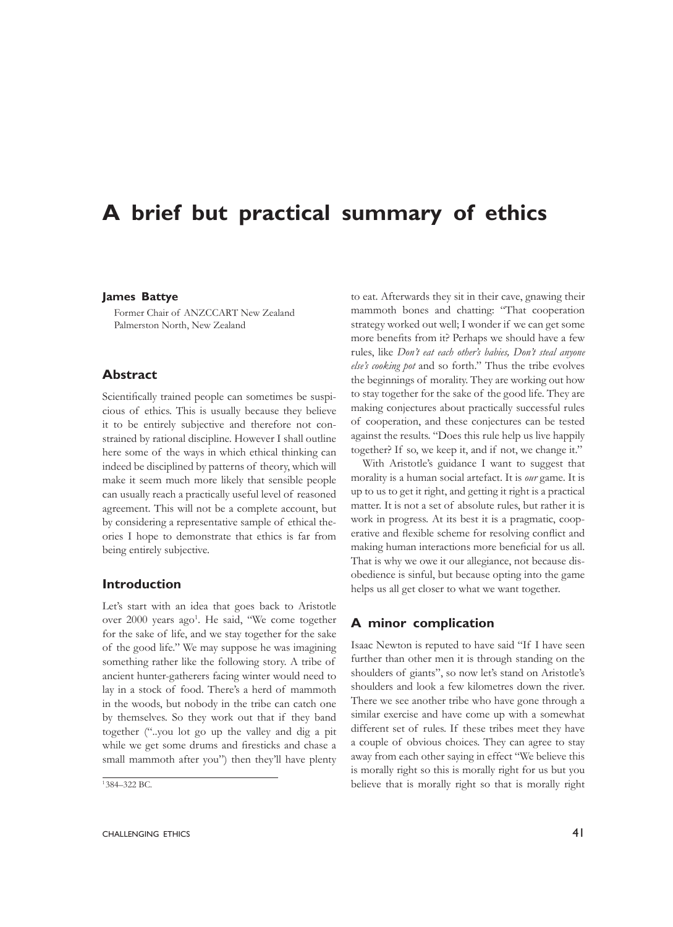# **A brief but practical summary of ethics**

#### **James Battye**

Former Chair of ANZCCART New Zealand Palmerston North, New Zealand

## **Abstract**

Scientifically trained people can sometimes be suspicious of ethics. This is usually because they believe it to be entirely subjective and therefore not constrained by rational discipline. However I shall outline here some of the ways in which ethical thinking can indeed be disciplined by patterns of theory, which will make it seem much more likely that sensible people can usually reach a practically useful level of reasoned agreement. This will not be a complete account, but by considering a representative sample of ethical theories I hope to demonstrate that ethics is far from being entirely subjective.

#### **Introduction**

Let's start with an idea that goes back to Aristotle over 2000 years ago<sup>1</sup>. He said, "We come together for the sake of life, and we stay together for the sake of the good life." We may suppose he was imagining something rather like the following story. A tribe of ancient hunter-gatherers facing winter would need to lay in a stock of food. There's a herd of mammoth in the woods, but nobody in the tribe can catch one by themselves. So they work out that if they band together ("..you lot go up the valley and dig a pit while we get some drums and firesticks and chase a small mammoth after you") then they'll have plenty

to eat. Afterwards they sit in their cave, gnawing their mammoth bones and chatting: "That cooperation strategy worked out well; I wonder if we can get some more benefits from it? Perhaps we should have a few rules, like *Don't eat each other's babies, Don't steal anyone else's cooking pot* and so forth." Thus the tribe evolves the beginnings of morality. They are working out how to stay together for the sake of the good life. They are making conjectures about practically successful rules of cooperation, and these conjectures can be tested against the results. "Does this rule help us live happily together? If so, we keep it, and if not, we change it."

With Aristotle's guidance I want to suggest that morality is a human social artefact. It is *our* game. It is up to us to get it right, and getting it right is a practical matter. It is not a set of absolute rules, but rather it is work in progress. At its best it is a pragmatic, cooperative and flexible scheme for resolving conflict and making human interactions more beneficial for us all. That is why we owe it our allegiance, not because disobedience is sinful, but because opting into the game helps us all get closer to what we want together.

## **A minor complication**

Isaac Newton is reputed to have said "If I have seen further than other men it is through standing on the shoulders of giants", so now let's stand on Aristotle's shoulders and look a few kilometres down the river. There we see another tribe who have gone through a similar exercise and have come up with a somewhat different set of rules. If these tribes meet they have a couple of obvious choices. They can agree to stay away from each other saying in effect "We believe this is morally right so this is morally right for us but you believe that is morally right so that is morally right

<sup>1</sup> 384–322 BC.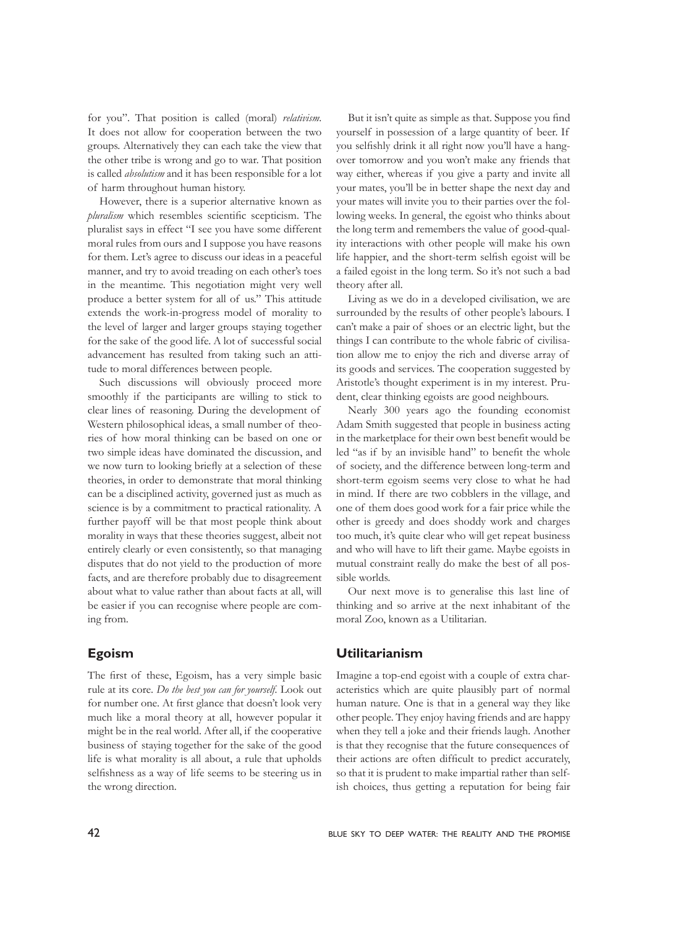for you". That position is called (moral) *relativism*. It does not allow for cooperation between the two groups. Alternatively they can each take the view that the other tribe is wrong and go to war. That position is called *absolutism* and it has been responsible for a lot of harm throughout human history.

However, there is a superior alternative known as *pluralism* which resembles scientific scepticism. The pluralist says in effect "I see you have some different moral rules from ours and I suppose you have reasons for them. Let's agree to discuss our ideas in a peaceful manner, and try to avoid treading on each other's toes in the meantime. This negotiation might very well produce a better system for all of us." This attitude extends the work-in-progress model of morality to the level of larger and larger groups staying together for the sake of the good life. A lot of successful social advancement has resulted from taking such an attitude to moral differences between people.

Such discussions will obviously proceed more smoothly if the participants are willing to stick to clear lines of reasoning. During the development of Western philosophical ideas, a small number of theories of how moral thinking can be based on one or two simple ideas have dominated the discussion, and we now turn to looking briefly at a selection of these theories, in order to demonstrate that moral thinking can be a disciplined activity, governed just as much as science is by a commitment to practical rationality. A further payoff will be that most people think about morality in ways that these theories suggest, albeit not entirely clearly or even consistently, so that managing disputes that do not yield to the production of more facts, and are therefore probably due to disagreement about what to value rather than about facts at all, will be easier if you can recognise where people are coming from.

## **Egoism**

The first of these, Egoism, has a very simple basic rule at its core. *Do the best you can for yourself.* Look out for number one. At first glance that doesn't look very much like a moral theory at all, however popular it might be in the real world. After all, if the cooperative business of staying together for the sake of the good life is what morality is all about, a rule that upholds selfishness as a way of life seems to be steering us in the wrong direction.

But it isn't quite as simple as that. Suppose you find yourself in possession of a large quantity of beer. If you selfishly drink it all right now you'll have a hangover tomorrow and you won't make any friends that way either, whereas if you give a party and invite all your mates, you'll be in better shape the next day and your mates will invite you to their parties over the following weeks. In general, the egoist who thinks about the long term and remembers the value of good-quality interactions with other people will make his own life happier, and the short-term selfish egoist will be a failed egoist in the long term. So it's not such a bad theory after all.

Living as we do in a developed civilisation, we are surrounded by the results of other people's labours. I can't make a pair of shoes or an electric light, but the things I can contribute to the whole fabric of civilisation allow me to enjoy the rich and diverse array of its goods and services. The cooperation suggested by Aristotle's thought experiment is in my interest. Prudent, clear thinking egoists are good neighbours.

Nearly 300 years ago the founding economist Adam Smith suggested that people in business acting in the marketplace for their own best benefit would be led "as if by an invisible hand" to benefit the whole of society, and the difference between long-term and short-term egoism seems very close to what he had in mind. If there are two cobblers in the village, and one of them does good work for a fair price while the other is greedy and does shoddy work and charges too much, it's quite clear who will get repeat business and who will have to lift their game. Maybe egoists in mutual constraint really do make the best of all possible worlds.

Our next move is to generalise this last line of thinking and so arrive at the next inhabitant of the moral Zoo, known as a Utilitarian.

## **Utilitarianism**

Imagine a top-end egoist with a couple of extra characteristics which are quite plausibly part of normal human nature. One is that in a general way they like other people. They enjoy having friends and are happy when they tell a joke and their friends laugh. Another is that they recognise that the future consequences of their actions are often difficult to predict accurately, so that it is prudent to make impartial rather than selfish choices, thus getting a reputation for being fair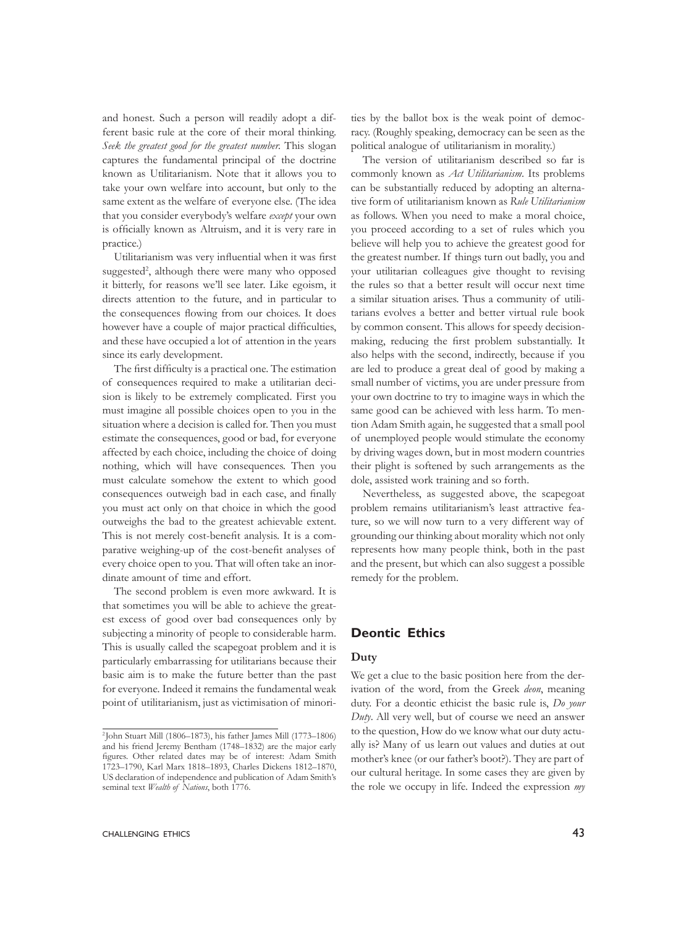and honest. Such a person will readily adopt a different basic rule at the core of their moral thinking. *Seek the greatest good for the greatest number.* This slogan captures the fundamental principal of the doctrine known as Utilitarianism. Note that it allows you to take your own welfare into account, but only to the same extent as the welfare of everyone else. (The idea that you consider everybody's welfare *except* your own is officially known as Altruism, and it is very rare in practice.)

Utilitarianism was very influential when it was first suggested<sup>2</sup>, although there were many who opposed it bitterly, for reasons we'll see later. Like egoism, it directs attention to the future, and in particular to the consequences flowing from our choices. It does however have a couple of major practical difficulties, and these have occupied a lot of attention in the years since its early development.

The first difficulty is a practical one. The estimation of consequences required to make a utilitarian decision is likely to be extremely complicated. First you must imagine all possible choices open to you in the situation where a decision is called for. Then you must estimate the consequences, good or bad, for everyone affected by each choice, including the choice of doing nothing, which will have consequences. Then you must calculate somehow the extent to which good consequences outweigh bad in each case, and finally you must act only on that choice in which the good outweighs the bad to the greatest achievable extent. This is not merely cost-benefit analysis. It is a comparative weighing-up of the cost-benefit analyses of every choice open to you. That will often take an inordinate amount of time and effort.

The second problem is even more awkward. It is that sometimes you will be able to achieve the greatest excess of good over bad consequences only by subjecting a minority of people to considerable harm. This is usually called the scapegoat problem and it is particularly embarrassing for utilitarians because their basic aim is to make the future better than the past for everyone. Indeed it remains the fundamental weak point of utilitarianism, just as victimisation of minori-

ties by the ballot box is the weak point of democracy. (Roughly speaking, democracy can be seen as the political analogue of utilitarianism in morality.)

The version of utilitarianism described so far is commonly known as *Act Utilitarianism*. Its problems can be substantially reduced by adopting an alternative form of utilitarianism known as *Rule Utilitarianism* as follows. When you need to make a moral choice, you proceed according to a set of rules which you believe will help you to achieve the greatest good for the greatest number. If things turn out badly, you and your utilitarian colleagues give thought to revising the rules so that a better result will occur next time a similar situation arises. Thus a community of utilitarians evolves a better and better virtual rule book by common consent. This allows for speedy decisionmaking, reducing the first problem substantially. It also helps with the second, indirectly, because if you are led to produce a great deal of good by making a small number of victims, you are under pressure from your own doctrine to try to imagine ways in which the same good can be achieved with less harm. To mention Adam Smith again, he suggested that a small pool of unemployed people would stimulate the economy by driving wages down, but in most modern countries their plight is softened by such arrangements as the dole, assisted work training and so forth.

Nevertheless, as suggested above, the scapegoat problem remains utilitarianism's least attractive feature, so we will now turn to a very different way of grounding our thinking about morality which not only represents how many people think, both in the past and the present, but which can also suggest a possible remedy for the problem.

## **Deontic Ethics**

#### **Duty**

We get a clue to the basic position here from the derivation of the word, from the Greek *deon*, meaning duty. For a deontic ethicist the basic rule is, *Do your Duty*. All very well, but of course we need an answer to the question, How do we know what our duty actually is? Many of us learn out values and duties at out mother's knee (or our father's boot?). They are part of our cultural heritage. In some cases they are given by the role we occupy in life. Indeed the expression *my* 

<sup>2</sup> John Stuart Mill (1806–1873), his father James Mill (1773–1806) and his friend Jeremy Bentham (1748–1832) are the major early figures. Other related dates may be of interest: Adam Smith 1723–1790, Karl Marx 1818–1893, Charles Dickens 1812–1870, US declaration of independence and publication of Adam Smith's seminal text *Wealth of Nations*, both 1776.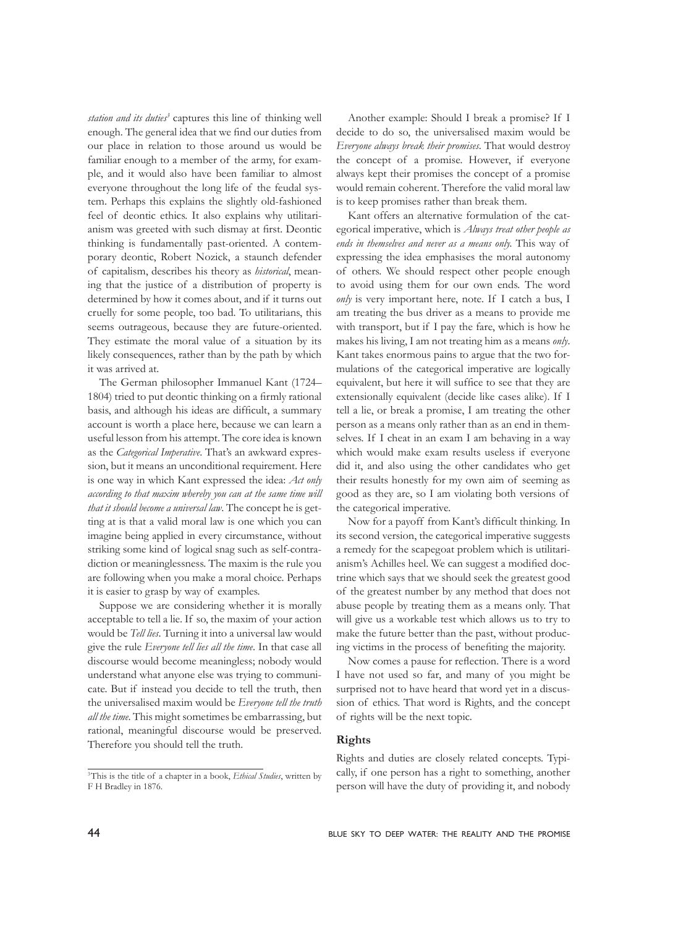station and its duties<sup>3</sup> captures this line of thinking well enough. The general idea that we find our duties from our place in relation to those around us would be familiar enough to a member of the army, for example, and it would also have been familiar to almost everyone throughout the long life of the feudal system. Perhaps this explains the slightly old-fashioned feel of deontic ethics. It also explains why utilitarianism was greeted with such dismay at first. Deontic thinking is fundamentally past-oriented. A contemporary deontic, Robert Nozick, a staunch defender of capitalism, describes his theory as *historical*, meaning that the justice of a distribution of property is determined by how it comes about, and if it turns out cruelly for some people, too bad. To utilitarians, this seems outrageous, because they are future-oriented. They estimate the moral value of a situation by its likely consequences, rather than by the path by which it was arrived at.

The German philosopher Immanuel Kant (1724– 1804) tried to put deontic thinking on a firmly rational basis, and although his ideas are difficult, a summary account is worth a place here, because we can learn a useful lesson from his attempt. The core idea is known as the *Categorical Imperative*. That's an awkward expression, but it means an unconditional requirement. Here is one way in which Kant expressed the idea: *Act only according to that maxim whereby you can at the same time will that it should become a universal law*. The concept he is getting at is that a valid moral law is one which you can imagine being applied in every circumstance, without striking some kind of logical snag such as self-contradiction or meaninglessness. The maxim is the rule you are following when you make a moral choice. Perhaps it is easier to grasp by way of examples.

Suppose we are considering whether it is morally acceptable to tell a lie. If so, the maxim of your action would be *Tell lies*. Turning it into a universal law would give the rule *Everyone tell lies all the time*. In that case all discourse would become meaningless; nobody would understand what anyone else was trying to communicate. But if instead you decide to tell the truth, then the universalised maxim would be *Everyone tell the truth all the time*. This might sometimes be embarrassing, but rational, meaningful discourse would be preserved. Therefore you should tell the truth.

3This is the title of a chapter in a book, *Ethical Studies*, written by F H Bradley in 1876.

Another example: Should I break a promise? If I decide to do so, the universalised maxim would be *Everyone always break their promises*. That would destroy the concept of a promise. However, if everyone always kept their promises the concept of a promise would remain coherent. Therefore the valid moral law is to keep promises rather than break them.

Kant offers an alternative formulation of the categorical imperative, which is *Always treat other people as ends in themselves and never as a means only.* This way of expressing the idea emphasises the moral autonomy of others. We should respect other people enough to avoid using them for our own ends. The word *only* is very important here, note. If I catch a bus, I am treating the bus driver as a means to provide me with transport, but if I pay the fare, which is how he makes his living, I am not treating him as a means *only*. Kant takes enormous pains to argue that the two formulations of the categorical imperative are logically equivalent, but here it will suffice to see that they are extensionally equivalent (decide like cases alike). If I tell a lie, or break a promise, I am treating the other person as a means only rather than as an end in themselves. If I cheat in an exam I am behaving in a way which would make exam results useless if everyone did it, and also using the other candidates who get their results honestly for my own aim of seeming as good as they are, so I am violating both versions of the categorical imperative.

Now for a payoff from Kant's difficult thinking. In its second version, the categorical imperative suggests a remedy for the scapegoat problem which is utilitarianism's Achilles heel. We can suggest a modified doctrine which says that we should seek the greatest good of the greatest number by any method that does not abuse people by treating them as a means only. That will give us a workable test which allows us to try to make the future better than the past, without producing victims in the process of benefiting the majority.

Now comes a pause for reflection. There is a word I have not used so far, and many of you might be surprised not to have heard that word yet in a discussion of ethics. That word is Rights, and the concept of rights will be the next topic.

#### **Rights**

Rights and duties are closely related concepts. Typically, if one person has a right to something, another person will have the duty of providing it, and nobody